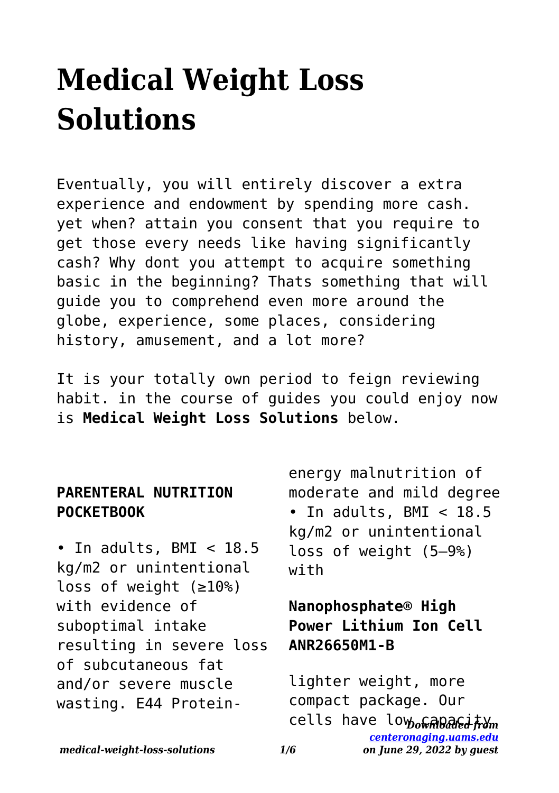# **Medical Weight Loss Solutions**

Eventually, you will entirely discover a extra experience and endowment by spending more cash. yet when? attain you consent that you require to get those every needs like having significantly cash? Why dont you attempt to acquire something basic in the beginning? Thats something that will guide you to comprehend even more around the globe, experience, some places, considering history, amusement, and a lot more?

It is your totally own period to feign reviewing habit. in the course of guides you could enjoy now is **Medical Weight Loss Solutions** below.

#### **PARENTERAL NUTRITION POCKETBOOK**

• In adults, BMI < 18.5 kg/m2 or unintentional loss of weight (≥10%) with evidence of suboptimal intake resulting in severe loss of subcutaneous fat and/or severe muscle wasting. E44 Proteinenergy malnutrition of moderate and mild degree • In adults, BMI  $<$  18.5 kg/m2 or unintentional loss of weight (5–9%) with

### **Nanophosphate® High Power Lithium Ion Cell ANR26650M1-B**

cells have lo<sub>Wo</sub>@*aDa@ea ተ*ን<sub>ጣ</sub> *[centeronaging.uams.edu](http://centeronaging.uams.edu) on June 29, 2022 by guest* lighter weight, more compact package. Our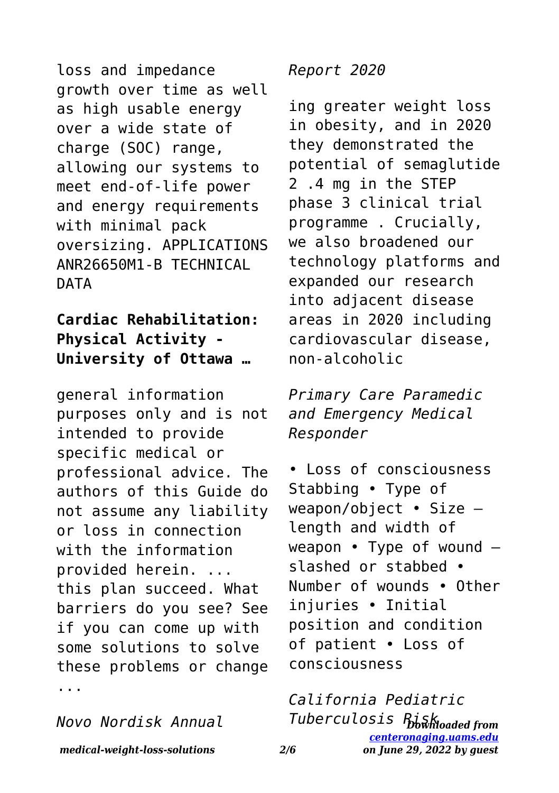loss and impedance growth over time as well as high usable energy over a wide state of charge (SOC) range, allowing our systems to meet end-of-life power and energy requirements with minimal pack oversizing. APPLICATIONS ANR26650M1-B TECHNICAL **DATA** 

#### **Cardiac Rehabilitation: Physical Activity - University of Ottawa …**

general information purposes only and is not intended to provide specific medical or professional advice. The authors of this Guide do not assume any liability or loss in connection with the information provided herein. ... this plan succeed. What barriers do you see? See if you can come up with some solutions to solve these problems or change ...

*Novo Nordisk Annual*

*Report 2020*

ing greater weight loss in obesity, and in 2020 they demonstrated the potential of semaglutide 2 .4 mg in the STEP phase 3 clinical trial programme . Crucially, we also broadened our technology platforms and expanded our research into adjacent disease areas in 2020 including cardiovascular disease, non-alcoholic

*Primary Care Paramedic and Emergency Medical Responder*

• Loss of consciousness Stabbing • Type of weapon/object • Size – length and width of weapon • Type of wound – slashed or stabbed • Number of wounds • Other injuries • Initial position and condition of patient • Loss of consciousness

*Downloaded from Tuberculosis Risk[centeronaging.uams.edu](http://centeronaging.uams.edu) on June 29, 2022 by guest California Pediatric*

*medical-weight-loss-solutions 2/6*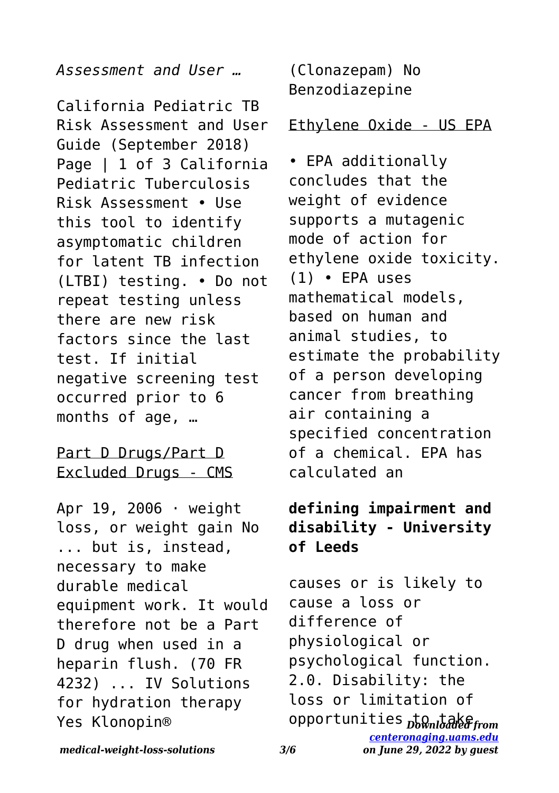*Assessment and User …*

California Pediatric TB Risk Assessment and User Guide (September 2018) Page | 1 of 3 California Pediatric Tuberculosis Risk Assessment • Use this tool to identify asymptomatic children for latent TB infection (LTBI) testing. • Do not repeat testing unless there are new risk factors since the last test. If initial negative screening test occurred prior to 6 months of age, …

#### Part D Drugs/Part D Excluded Drugs - CMS

Apr 19, 2006 · weight loss, or weight gain No ... but is, instead, necessary to make durable medical equipment work. It would therefore not be a Part D drug when used in a heparin flush. (70 FR 4232) ... IV Solutions for hydration therapy Yes Klonopin®

(Clonazepam) No Benzodiazepine

#### Ethylene Oxide - US EPA

• EPA additionally concludes that the weight of evidence supports a mutagenic mode of action for ethylene oxide toxicity. (1) • EPA uses mathematical models, based on human and animal studies, to estimate the probability of a person developing cancer from breathing air containing a specified concentration of a chemical. EPA has calculated an

#### **defining impairment and disability - University of Leeds**

opportunities <sub>Downloaded from</sub> *[centeronaging.uams.edu](http://centeronaging.uams.edu) on June 29, 2022 by guest* causes or is likely to cause a loss or difference of physiological or psychological function. 2.0. Disability: the loss or limitation of

*medical-weight-loss-solutions 3/6*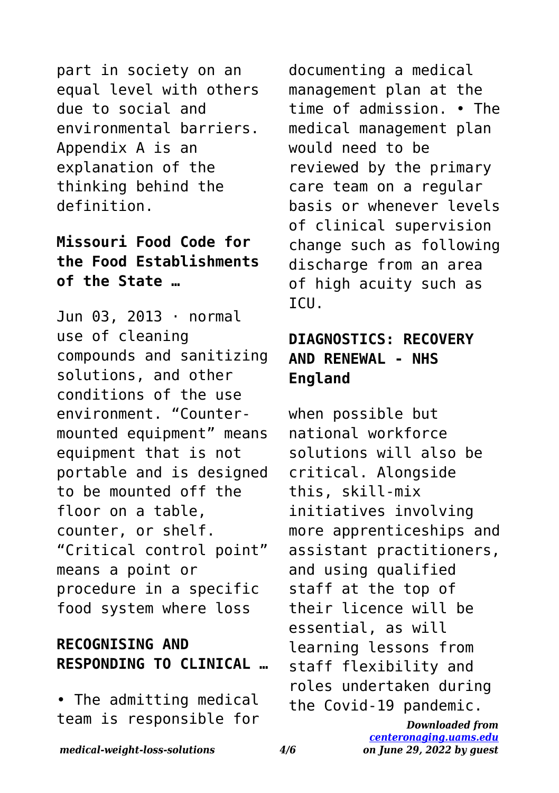part in society on an equal level with others due to social and environmental barriers. Appendix A is an explanation of the thinking behind the definition.

#### **Missouri Food Code for the Food Establishments of the State …**

Jun 03, 2013 · normal use of cleaning compounds and sanitizing solutions, and other conditions of the use environment. "Countermounted equipment" means equipment that is not portable and is designed to be mounted off the floor on a table, counter, or shelf. "Critical control point" means a point or procedure in a specific food system where loss

### **RECOGNISING AND RESPONDING TO CLINICAL …**

• The admitting medical team is responsible for documenting a medical management plan at the time of admission. • The medical management plan would need to be reviewed by the primary care team on a regular basis or whenever levels of clinical supervision change such as following discharge from an area of high acuity such as ICU.

### **DIAGNOSTICS: RECOVERY AND RENEWAL - NHS England**

when possible but national workforce solutions will also be critical. Alongside this, skill-mix initiatives involving more apprenticeships and assistant practitioners, and using qualified staff at the top of their licence will be essential, as will learning lessons from staff flexibility and roles undertaken during the Covid-19 pandemic.

> *Downloaded from [centeronaging.uams.edu](http://centeronaging.uams.edu) on June 29, 2022 by guest*

#### *medical-weight-loss-solutions 4/6*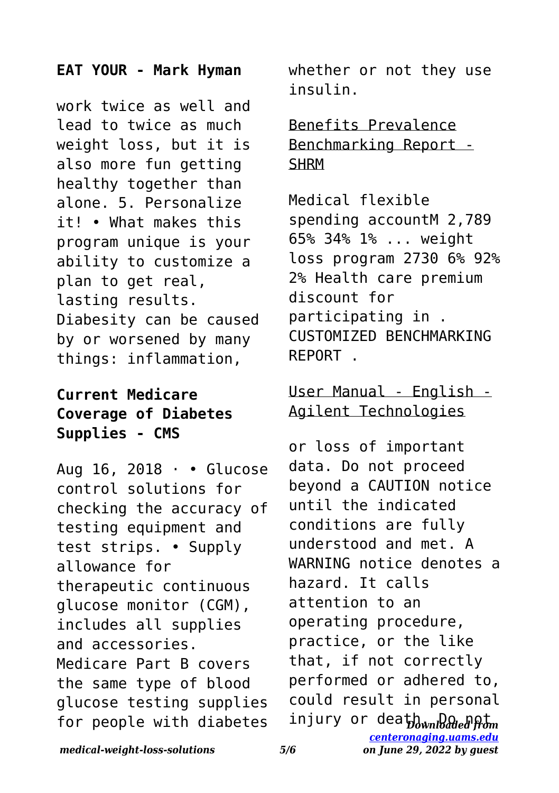#### **EAT YOUR - Mark Hyman**

work twice as well and lead to twice as much weight loss, but it is also more fun getting healthy together than alone. 5. Personalize it! • What makes this program unique is your ability to customize a plan to get real, lasting results. Diabesity can be caused by or worsened by many things: inflammation,

#### **Current Medicare Coverage of Diabetes Supplies - CMS**

Aug 16, 2018 · • Glucose control solutions for checking the accuracy of testing equipment and test strips. • Supply allowance for therapeutic continuous glucose monitor (CGM), includes all supplies and accessories. Medicare Part B covers the same type of blood glucose testing supplies for people with diabetes

whether or not they use insulin.

Benefits Prevalence Benchmarking Report - **SHRM** 

Medical flexible spending accountM 2,789 65% 34% 1% ... weight loss program 2730 6% 92% 2% Health care premium discount for participating in . CUSTOMIZED BENCHMARKING REPORT .

## User Manual - English - Agilent Technologies

injury or dea<del>th. Da ա</del>նական or loss of important data. Do not proceed beyond a CAUTION notice until the indicated conditions are fully understood and met. A WARNING notice denotes a hazard. It calls attention to an operating procedure, practice, or the like that, if not correctly performed or adhered to, could result in personal

*medical-weight-loss-solutions 5/6*

*[centeronaging.uams.edu](http://centeronaging.uams.edu) on June 29, 2022 by guest*